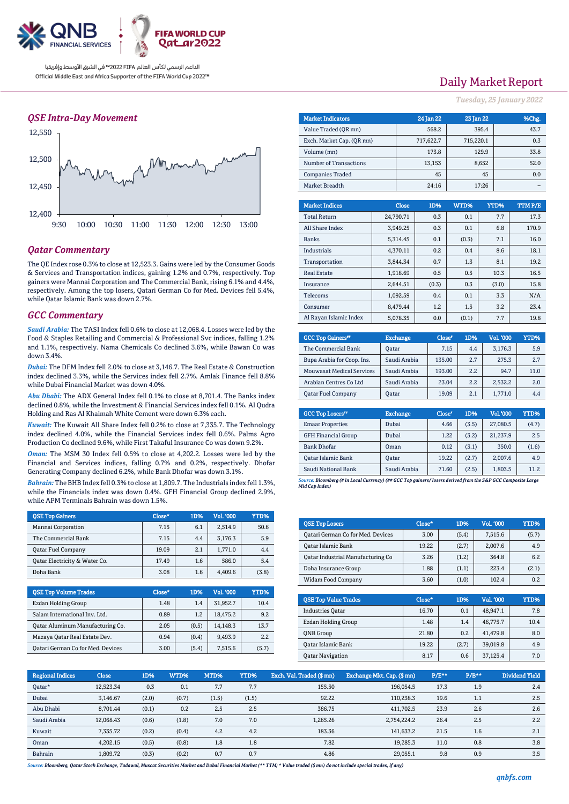

#### *QSE Intra-Day Movement*



#### *Qatar Commentary*

The QE Index rose 0.3% to close at 12,523.3. Gains were led by the Consumer Goods & Services and Transportation indices, gaining 1.2% and 0.7%, respectively. Top gainers were Mannai Corporation and The Commercial Bank, rising 6.1% and 4.4%, respectively. Among the top losers, Qatari German Co for Med. Devices fell 5.4%, while Qatar Islamic Bank was down 2.7%.

#### *GCC Commentary*

*Saudi Arabia:* The TASI Index fell 0.6% to close at 12,068.4. Losses were led by the Food & Staples Retailing and Commercial & Professional Svc indices, falling 1.2% and 1.1%, respectively. Nama Chemicals Co declined 3.6%, while Bawan Co was down 3.4%.

*Dubai:* The DFM Index fell 2.0% to close at 3,146.7. The Real Estate & Construction index declined 3.3%, while the Services index fell 2.7%. Amlak Finance fell 8.8% while Dubai Financial Market was down 4.0%.

*Abu Dhabi:* The ADX General Index fell 0.1% to close at 8,701.4. The Banks index declined 0.8%, while the Investment & Financial Services index fell 0.1%. Al Qudra Holding and Ras Al Khaimah White Cement were down 6.3% each.

*Kuwait:* The Kuwait All Share Index fell 0.2% to close at 7,335.7. The Technology index declined 4.0%, while the Financial Services index fell 0.6%. Palms Agro Production Co declined 9.6%, while First Takaful Insurance Co was down 9.2%.

*Oman:* The MSM 30 Index fell 0.5% to close at 4,202.2. Losses were led by the Financial and Services indices, falling 0.7% and 0.2%, respectively. Dhofar Generating Company declined 6.2%, while Bank Dhofar was down 3.1%.

*Bahrain:* The BHB Index fell 0.3% to close at 1,809.7. The Industrials index fell 1.3%, while the Financials index was down 0.4%. GFH Financial Group declined 2.9%, while APM Terminals Bahrain was down 1.5%.

| <b>OSE Top Gainers</b>        | Close* | 1D% | Vol. '000 | YTD%  |
|-------------------------------|--------|-----|-----------|-------|
| Mannai Corporation            | 7.15   | 6.1 | 2,514.9   | 50.6  |
| The Commercial Bank           | 7.15   | 4.4 | 3.176.3   | 5.9   |
| <b>Oatar Fuel Company</b>     | 19.09  | 2.1 | 1.771.0   | 4.4   |
| Oatar Electricity & Water Co. | 17.49  | 1.6 | 586.0     | 5.4   |
| Doha Bank                     | 3.08   | 1.6 | 4.409.6   | (3.8) |

| <b>OSE Top Volume Trades</b>      | Close* | 1D%   | Vol. '000 | YTD%  |
|-----------------------------------|--------|-------|-----------|-------|
| Ezdan Holding Group               | 1.48   | 1.4   | 31.952.7  | 10.4  |
| Salam International Inv. Ltd.     | 0.89   | 1.2   | 18,475.2  | 9.2   |
| Qatar Aluminum Manufacturing Co.  | 2.05   | (0.5) | 14.148.3  | 13.7  |
| Mazaya Qatar Real Estate Dev.     | 0.94   | (0.4) | 9.493.9   | 2.2   |
| Qatari German Co for Med. Devices | 3.00   | (5.4) | 7.515.6   | (5.7) |

### Daily Market Report

*Tuesday, 25 January 2022*

| <b>Market Indicators</b>  | 24 Jan 22 | 23 Jan 22 | %Chg. |
|---------------------------|-----------|-----------|-------|
| Value Traded (OR mn)      | 568.2     | 395.4     | 43.7  |
| Exch. Market Cap. (OR mn) | 717,622.7 | 715,220.1 | 0.3   |
| Volume (mn)               | 173.8     | 129.9     | 33.8  |
| Number of Transactions    | 13,153    | 8,652     | 52.0  |
| <b>Companies Traded</b>   | 45        | 45        | 0.0   |
| Market Breadth            | 24:16     | 17:26     |       |

| <b>Market Indices</b>  | <b>Close</b> | 1D%   | WTD%  | YTD%  | TTM P/E |
|------------------------|--------------|-------|-------|-------|---------|
| <b>Total Return</b>    | 24.790.71    | 0.3   | 0.1   | 7.7   | 17.3    |
| All Share Index        | 3.949.25     | 0.3   | 0.1   | 6.8   | 170.9   |
| <b>Banks</b>           | 5.314.45     | 0.1   | (0.3) | 7.1   | 16.0    |
| Industrials            | 4.370.11     | 0.2   | 0.4   | 8.6   | 18.1    |
| Transportation         | 3.844.34     | 0.7   | 1.3   | 8.1   | 19.2    |
| <b>Real Estate</b>     | 1,918.69     | 0.5   | 0.5   | 10.3  | 16.5    |
| Insurance              | 2.644.51     | (0.3) | 0.3   | (3.0) | 15.8    |
| Telecoms               | 1,092.59     | 0.4   | 0.1   | 3.3   | N/A     |
| Consumer               | 8.479.44     | 1.2   | 1.5   | 3.2   | 23.4    |
| Al Rayan Islamic Index | 5,078.35     | 0.0   | (0.1) | 7.7   | 19.8    |

| <b>GCC Top Gainers</b> "         | <b>Exchange</b> | Close* | 1D% | Vol. '000 | YTD% |
|----------------------------------|-----------------|--------|-----|-----------|------|
| The Commercial Bank              | <b>Oatar</b>    | 7.15   | 4.4 | 3,176.3   | 5.9  |
| Bupa Arabia for Coop. Ins.       | Saudi Arabia    | 135.00 | 2.7 | 275.3     | 2.7  |
| <b>Mouwasat Medical Services</b> | Saudi Arabia    | 193.00 | 2.2 | 94.7      | 11.0 |
| Arabian Centres Co Ltd           | Saudi Arabia    | 23.04  | 2.2 | 2,532.2   | 2.0  |
| <b>Oatar Fuel Company</b>        | Oatar           | 19.09  | 2.1 | 1.771.0   | 4.4  |

| <b>GCC Top Losers</b> "    | <b>Exchange</b> | Close <sup>®</sup> | 1D%   | Vol. '000 | YTD%  |
|----------------------------|-----------------|--------------------|-------|-----------|-------|
| <b>Emaar Properties</b>    | Dubai           | 4.66               | (3.5) | 27,080.5  | (4.7) |
| <b>GFH Financial Group</b> | Dubai           | 1.22               | (3.2) | 21.237.9  | 2.5   |
| <b>Bank Dhofar</b>         | Oman            | 0.12               | (3.1) | 350.0     | (1.6) |
| Qatar Islamic Bank         | <b>Oatar</b>    | 19.22              | (2.7) | 2,007.6   | 4.9   |
| Saudi National Bank        | Saudi Arabia    | 71.60              | (2.5) | 1,803.5   | 11.2  |

*Source: Bloomberg (# in Local Currency) (## GCC Top gainers/ losers derived from the S&P GCC Composite Large Mid Cap Index)*

| <b>QSE Top Losers</b>             | Close* | 1D%   | <b>Vol. '000</b> | YTD%  |
|-----------------------------------|--------|-------|------------------|-------|
| Qatari German Co for Med. Devices | 3.00   | (5.4) | 7.515.6          | (5.7) |
| Qatar Islamic Bank                | 19.22  | (2.7) | 2.007.6          | 4.9   |
| Qatar Industrial Manufacturing Co | 3.26   | (1.2) | 364.8            | 6.2   |
| Doha Insurance Group              | 1.88   | (1.1) | 223.4            | (2.1) |
| <b>Widam Food Company</b>         | 3.60   | (1.0) | 102.4            | 0.2   |

| <b>OSE Top Value Trades</b> | Close* | 1D%   | Val. '000 | YTD% |
|-----------------------------|--------|-------|-----------|------|
| <b>Industries Oatar</b>     | 16.70  | 0.1   | 48.947.1  | 7.8  |
| Ezdan Holding Group         | 1.48   | 1.4   | 46.775.7  | 10.4 |
| <b>ONB</b> Group            | 21.80  | 0.2   | 41,479.8  | 8.0  |
| <b>Oatar Islamic Bank</b>   | 19.22  | (2.7) | 39,019.8  | 4.9  |
| <b>Qatar Navigation</b>     | 8.17   | 0.6   | 37.125.4  | 7.0  |

| <b>Regional Indices</b> | <b>Close</b> | 1D%   | WTD%  | MTD%  | YTD%  | Exch. Val. Traded (\$ mn) | Exchange Mkt. Cap. (\$ mn) | $P/E***$ | $P/B**$ | Dividend Yield |
|-------------------------|--------------|-------|-------|-------|-------|---------------------------|----------------------------|----------|---------|----------------|
| Qatar*                  | 12.523.34    | 0.3   | 0.1   | 7.7   | 7.7   | 155.50                    | 196.054.5                  | 17.3     | 1.9     | 2.4            |
| Dubai                   | 3.146.67     | (2.0) | (0.7) | (1.5) | (1.5) | 92.22                     | 110.238.3                  | 19.6     | 1.1     | 2.5            |
| Abu Dhabi               | 8,701.44     | (0.1) | 0.2   | 2.5   | 2.5   | 386.75                    | 411.702.5                  | 23.9     | 2.6     | 2.6            |
| Saudi Arabia            | 12,068.43    | (0.6) | (1.8) | 7.0   | 7.0   | 1.265.26                  | 2,754,224.2                | 26.4     | 2.5     | 2.2            |
| Kuwait                  | 7.335.72     | (0.2) | (0.4) | 4.2   | 4.2   | 183.36                    | 141.633.2                  | 21.5     | 1.6     | 2.1            |
| Oman                    | 4.202.15     | (0.5) | (0.8) | 1.8   | 1.8   | 7.82                      | 19.285.3                   | 11.0     | 0.8     | 3.8            |
| Bahrain                 | 1,809.72     | (0.3) | (0.2) | 0.7   | 0.7   | 4.86                      | 29.055.1                   | 9.8      | 0.9     | 3.5            |

*Source: Bloomberg, Qatar Stock Exchange, Tadawul, Muscat Securities Market and Dubai Financial Market (\*\* TTM; \* Value traded (\$ mn) do not include special trades, if any)*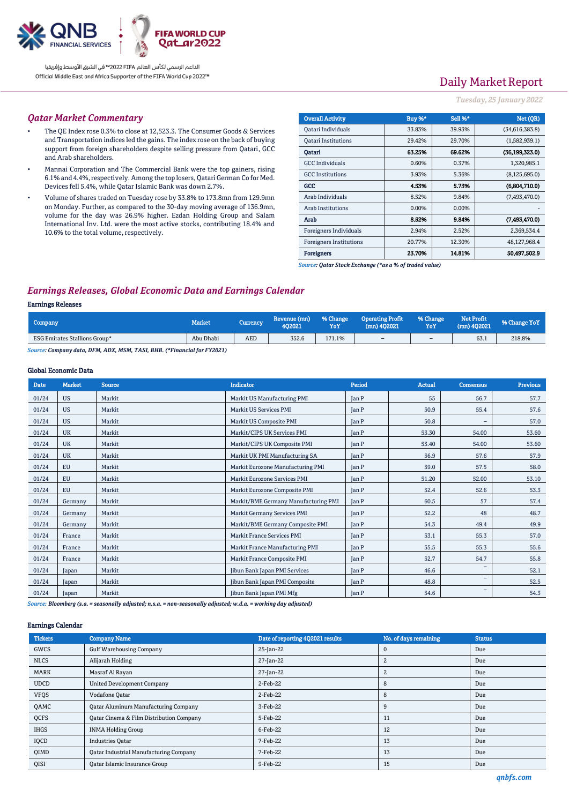

# Daily Market Report

#### *Tuesday, 25 January 2022*

#### *Qatar Market Commentary*

- The QE Index rose 0.3% to close at 12,523.3. The Consumer Goods & Services and Transportation indices led the gains. The index rose on the back of buying support from foreign shareholders despite selling pressure from Qatari, GCC and Arab shareholders.
- Mannai Corporation and The Commercial Bank were the top gainers, rising 6.1% and 4.4%, respectively. Among the top losers, Qatari German Co for Med. Devices fell 5.4%, while Qatar Islamic Bank was down 2.7%.
- Volume of shares traded on Tuesday rose by 33.8% to 173.8mn from 129.9mn on Monday. Further, as compared to the 30-day moving average of 136.9mn, volume for the day was 26.9% higher. Ezdan Holding Group and Salam International Inv. Ltd. were the most active stocks, contributing 18.4% and 10.6% to the total volume, respectively.

| <b>Overall Activity</b>        | Buy %* | Sell %* | Net (OR)        |
|--------------------------------|--------|---------|-----------------|
| Qatari Individuals             | 33.83% | 39.93%  | (34,616,383.8)  |
| <b>Oatari Institutions</b>     | 29.42% | 29.70%  | (1,582,939.1)   |
| Oatari                         | 63.25% | 69.62%  | (36.199.323.0)  |
| <b>GCC</b> Individuals         | 0.60%  | 0.37%   | 1,320,985.1     |
| <b>GCC</b> Institutions        | 3.93%  | 5.36%   | (8, 125, 695.0) |
| GCC                            | 4.53%  | 5.73%   | (6,804,710.0)   |
| Arab Individuals               | 8.52%  | 9.84%   | (7,493,470.0)   |
| Arab Institutions              | 0.00%  | 0.00%   |                 |
| Arab                           | 8.52%  | 9.84%   | (7,493,470.0)   |
| Foreigners Individuals         | 2.94%  | 2.52%   | 2,369,534.4     |
| <b>Foreigners Institutions</b> | 20.77% | 12.30%  | 48,127,968.4    |
| <b>Foreigners</b>              | 23.70% | 14.81%  | 50.497.502.9    |

*Source: Qatar Stock Exchange (\*as a % of traded value)*

### *Earnings Releases, Global Economic Data and Earnings Calendar*

#### Earnings Releases

| Company                              | <b>Market</b> | Currency   | Revenue (mn)<br>402021 | % Change<br>YoY | <b>Operating Profit</b><br>$(mn)$ 402021 | % Change<br>YoY | <b>Net Profit</b><br>$(mn)$ 402021 | % Change YoY |
|--------------------------------------|---------------|------------|------------------------|-----------------|------------------------------------------|-----------------|------------------------------------|--------------|
| <b>ESG Emirates Stallions Group*</b> | Abu Dhabi     | <b>AED</b> | 352.6                  | 171.1%          | -                                        | $\sim$          | 63.1                               | 218.8%       |
|                                      |               |            |                        |                 |                                          |                 |                                    |              |

*Source: Company data, DFM, ADX, MSM, TASI, BHB. (\*Financial for FY2021)*

#### Global Economic Data

| <b>Date</b> | <b>Market</b> | <b>Source</b> | <b>Indicator</b>                     | Period       | Actual | Consensus                | <b>Previous</b> |
|-------------|---------------|---------------|--------------------------------------|--------------|--------|--------------------------|-----------------|
| 01/24       | <b>US</b>     | Markit        | Markit US Manufacturing PMI          | <b>Jan P</b> | 55     | 56.7                     | 57.7            |
| 01/24       | <b>US</b>     | Markit        | Markit US Services PMI               | <b>Tan P</b> | 50.9   | 55.4                     | 57.6            |
| 01/24       | <b>US</b>     | Markit        | Markit US Composite PMI              | <b>Jan P</b> | 50.8   | $\overline{\phantom{a}}$ | 57.0            |
| 01/24       | <b>UK</b>     | Markit        | Markit/CIPS UK Services PMI          | <b>Jan P</b> | 53.30  | 54.00                    | 53.60           |
| 01/24       | <b>UK</b>     | Markit        | Markit/CIPS UK Composite PMI         | <b>Tan P</b> | 53.40  | 54.00                    | 53.60           |
| 01/24       | <b>UK</b>     | Markit        | Markit UK PMI Manufacturing SA       | <b>Tan P</b> | 56.9   | 57.6                     | 57.9            |
| 01/24       | EU            | Markit        | Markit Eurozone Manufacturing PMI    | <b>Jan P</b> | 59.0   | 57.5                     | 58.0            |
| 01/24       | <b>EU</b>     | Markit        | Markit Eurozone Services PMI         | <b>Jan P</b> | 51.20  | 52.00                    | 53.10           |
| 01/24       | <b>EU</b>     | Markit        | Markit Eurozone Composite PMI        | <b>Tan P</b> | 52.4   | 52.6                     | 53.3            |
| 01/24       | Germany       | Markit        | Markit/BME Germany Manufacturing PMI | <b>Jan P</b> | 60.5   | 57                       | 57.4            |
| 01/24       | Germany       | Markit        | Markit Germany Services PMI          | <b>Tan P</b> | 52.2   | 48                       | 48.7            |
| 01/24       | Germany       | Markit        | Markit/BME Germany Composite PMI     | <b>Jan P</b> | 54.3   | 49.4                     | 49.9            |
| 01/24       | France        | Markit        | <b>Markit France Services PMI</b>    | <b>Jan P</b> | 53.1   | 55.3                     | 57.0            |
| 01/24       | France        | Markit        | Markit France Manufacturing PMI      | <b>Jan P</b> | 55.5   | 55.3                     | 55.6            |
| 01/24       | France        | Markit        | Markit France Composite PMI          | <b>Jan P</b> | 52.7   | 54.7                     | 55.8            |
| 01/24       | Japan         | Markit        | Jibun Bank Japan PMI Services        | <b>Jan P</b> | 46.6   | $\qquad \qquad -$        | 52.1            |
| 01/24       | Japan         | Markit        | Jibun Bank Japan PMI Composite       | <b>Jan P</b> | 48.8   | $\overline{\phantom{a}}$ | 52.5            |
| 01/24       | Japan         | Markit        | Jibun Bank Japan PMI Mfg             | <b>Jan P</b> | 54.6   | $\qquad \qquad -$        | 54.3            |

*Source: Bloomberg (s.a. = seasonally adjusted; n.s.a. = non-seasonally adjusted; w.d.a. = working day adjusted)*

#### Earnings Calendar

| <b>Tickers</b> | <b>Company Name</b>                           | Date of reporting 4Q2021 results | No. of days remaining | <b>Status</b> |
|----------------|-----------------------------------------------|----------------------------------|-----------------------|---------------|
| GWCS           | <b>Gulf Warehousing Company</b>               | 25-Jan-22                        | $\mathbf 0$           | Due           |
| <b>NLCS</b>    | Alijarah Holding                              | 27-Jan-22                        | $\overline{c}$        | Due           |
| <b>MARK</b>    | Masraf Al Rayan                               | 27-Jan-22                        | $\overline{c}$        | Due           |
| <b>UDCD</b>    | <b>United Development Company</b>             | 2-Feb-22                         | 8                     | Due           |
| <b>VFQS</b>    | Vodafone Qatar                                | 2-Feb-22                         | 8                     | Due           |
| QAMC           | <b>Qatar Aluminum Manufacturing Company</b>   | 3-Feb-22                         | 9                     | Due           |
| QCFS           | Qatar Cinema & Film Distribution Company      | 5-Feb-22                         | 11                    | Due           |
| <b>IHGS</b>    | <b>INMA Holding Group</b>                     | 6-Feb-22                         | 12                    | Due           |
| IQCD           | <b>Industries Oatar</b>                       | 7-Feb-22                         | 13                    | Due           |
| <b>QIMD</b>    | <b>Qatar Industrial Manufacturing Company</b> | 7-Feb-22                         | 13                    | Due           |
| QISI           | <b>Qatar Islamic Insurance Group</b>          | 9-Feb-22                         | 15                    | Due           |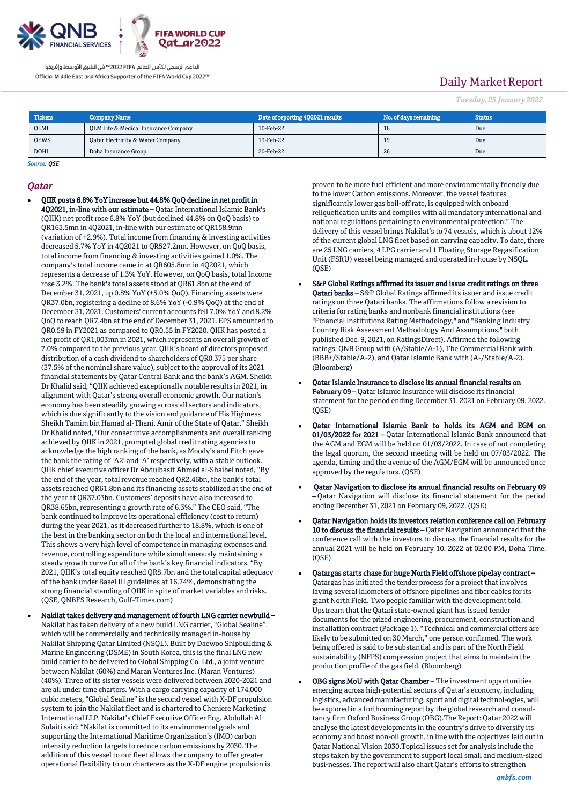

# Daily Market Report

*Tuesday, 25 January 2022*

| <b>Tickers</b> | Company Name                         | Date of reporting 4Q2021 results | No. of days remaining | <b>Status</b> |
|----------------|--------------------------------------|----------------------------------|-----------------------|---------------|
| QLMI           | QLM Life & Medical Insurance Company | 10-Feb-22                        | 1b                    | Due           |
| QEWS<br>____   | Oatar Electricity & Water Company    | 13-Feb-22                        | 19                    | Due           |
| <b>DOHI</b>    | Doha Insurance Group                 | 20-Feb-22                        | 26                    | Due           |

### *Source: QSE*

#### *Qatar*

- QIIK posts 6.8% YoY increase but 44.8% QoQ decline in net profit in 4Q2021, in-line with our estimate – Qatar International Islamic Bank's (QIIK) net profit rose 6.8% YoY (but declined 44.8% on QoQ basis) to QR163.5mn in 4Q2021, in-line with our estimate of QR158.9mn (variation of +2.9%). Total income from financing & investing activities decreased 5.7% YoY in 4Q2021 to QR527.2mn. However, on QoQ basis, total income from financing & investing activities gained 1.0%. The company's total income came in at QR605.8mn in 4Q2021, which represents a decrease of 1.3% YoY. However, on QoQ basis, total Income rose 3.2%. The bank's total assets stood at QR61.8bn at the end of December 31, 2021, up 0.8% YoY (+5.0% QoQ). Financing assets were QR37.0bn, registering a decline of 8.6% YoY (-0.9% QoQ) at the end of December 31, 2021. Customers' current accounts fell 7.0% YoY and 8.2% QoQ to reach QR7.4bn at the end of December 31, 2021. EPS amounted to QR0.59 in FY2021 as compared to QR0.55 in FY2020. QIIK has posted a net profit of QR1,003mn in 2021, which represents an overall growth of 7.0% compared to the previous year. QIIK's board of directors proposed distribution of a cash dividend to shareholders of QR0.375 per share (37.5% of the nominal share value), subject to the approval of its 2021 financial statements by Qatar Central Bank and the bank's AGM. Sheikh Dr Khalid said, "QIIK achieved exceptionally notable results in 2021, in alignment with Qatar's strong overall economic growth. Our nation's economy has been steadily growing across all sectors and indicators, which is due significantly to the vision and guidance of His Highness Sheikh Tamim bin Hamad al-Thani, Amir of the State of Qatar." Sheikh Dr Khalid noted, "Our consecutive accomplishments and overall ranking achieved by QIIK in 2021, prompted global credit rating agencies to acknowledge the high ranking of the bank, as Moody's and Fitch gave the bank the rating of 'A2' and 'A' respectively, with a stable outlook. QIIK chief executive officer Dr Abdulbasit Ahmed al-Shaibei noted, "By the end of the year, total revenue reached QR2.46bn, the bank's total assets reached QR61.8bn and its financing assets stabilized at the end of the year at QR37.03bn. Customers' deposits have also increased to QR38.65bn, representing a growth rate of 6.3%." The CEO said, "The bank continued to improve its operational efficiency (cost to return) during the year 2021, as it decreased further to 18.8%, which is one of the best in the banking sector on both the local and international level. This shows a very high level of competence in managing expenses and revenue, controlling expenditure while simultaneously maintaining a steady growth curve for all of the bank's key financial indicators. "By 2021, QIIK's total equity reached QR8.7bn and the total capital adequacy of the bank under Basel III guidelines at 16.74%, demonstrating the strong financial standing of QIIK in spite of market variables and risks. (QSE, QNBFS Research, Gulf-Times.com)
- Nakilat takes delivery and management of fourth LNG carrier newbuild Nakilat has taken delivery of a new build LNG carrier, "Global Sealine", which will be commercially and technically managed in-house by Nakilat Shipping Qatar Limited (NSQL). Built by Daewoo Shipbuilding & Marine Engineering (DSME) in South Korea, this is the final LNG new build carrier to be delivered to Global Shipping Co. Ltd., a joint venture between Nakilat (60%) and Maran Ventures Inc. (Maran Ventures) (40%). Three of its sister vessels were delivered between 2020-2021 and are all under time charters. With a cargo carrying capacity of 174,000 cubic meters, "Global Sealine" is the second vessel with X-DF propulsion system to join the Nakilat fleet and is chartered to Cheniere Marketing International LLP. Nakilat's Chief Executive Officer Eng. Abdullah Al Sulaiti said: "Nakilat is committed to its environmental goals and supporting the International Maritime Organization's (IMO) carbon intensity reduction targets to reduce carbon emissions by 2030. The addition of this vessel to our fleet allows the company to offer greater operational flexibility to our charterers as the X-DF engine propulsion is

proven to be more fuel efficient and more environmentally friendly due to the lower Carbon emissions. Moreover, the vessel features significantly lower gas boil-off rate, is equipped with onboard reliquefication units and complies with all mandatory international and national regulations pertaining to environmental protection." The delivery of this vessel brings Nakilat's to 74 vessels, which is about 12% of the current global LNG fleet based on carrying capacity. To date, there are 25 LNG carriers, 4 LPG carrier and 1 Floating Storage Regasification Unit (FSRU) vessel being managed and operated in-house by NSQL. (QSE)

- S&P Global Ratings affirmed its issuer and issue credit ratings on three Qatari banks - S&P Global Ratings affirmed its issuer and issue credit ratings on three Qatari banks. The affirmations follow a revision to criteria for rating banks and nonbank financial institutions (see "Financial Institutions Rating Methodology," and "Banking Industry Country Risk Assessment Methodology And Assumptions," both published Dec. 9, 2021, on RatingsDirect). Affirmed the following ratings: QNB Group with (A/Stable/A-1), The Commercial Bank with (BBB+/Stable/A-2), and Qatar Islamic Bank with (A-/Stable/A-2). (Bloomberg)
- Qatar Islamic Insurance to disclose its annual financial results on February 09 – Qatar Islamic Insurance will disclose its financial statement for the period ending December 31, 2021 on February 09, 2022. (QSE)
- Qatar International Islamic Bank to holds its AGM and EGM on 01/03/2022 for 2021 – Qatar International Islamic Bank announced that the AGM and EGM will be held on 01/03/2022. In case of not completing the legal quorum, the second meeting will be held on 07/03/2022. The agenda, timing and the avenue of the AGM/EGM will be announced once approved by the regulators. (QSE)
- Qatar Navigation to disclose its annual financial results on February 09 – Qatar Navigation will disclose its financial statement for the period ending December 31, 2021 on February 09, 2022. (QSE)
- Qatar Navigation holds its investors relation conference call on February 10 to discuss the financial results – Qatar Navigation announced that the conference call with the investors to discuss the financial results for the annual 2021 will be held on February 10, 2022 at 02:00 PM, Doha Time.  $(OSE)$
- Qatargas starts chase for huge North Field offshore pipelay contract Qatargas has initiated the tender process for a project that involves laying several kilometers of offshore pipelines and fiber cables for its giant North Field. Two people familiar with the development told Upstream that the Qatari state-owned giant has issued tender documents for the prized engineering, procurement, construction and installation contract (Package 1). "Technical and commercial offers are likely to be submitted on 30 March," one person confirmed. The work being offered is said to be substantial and is part of the North Field sustainability (NFPS) compression project that aims to maintain the production profile of the gas field. (Bloomberg)
- OBG signs MoU with Qatar Chamber The investment opportunities emerging across high-potential sectors of Qatar's economy, including logistics, advanced manufacturing, sport and digital technol-ogies, will be explored in a forthcoming report by the global research and consultancy firm Oxford Business Group (OBG).The Report: Qatar 2022 will analyse the latest developments in the country's drive to diversify its economy and boost non-oil growth, in line with the objectives laid out in Qatar National Vision 2030.Topical issues set for analysis include the steps taken by the government to support local small and medium-sized busi-nesses. The report will also chart Qatar's efforts to strengthen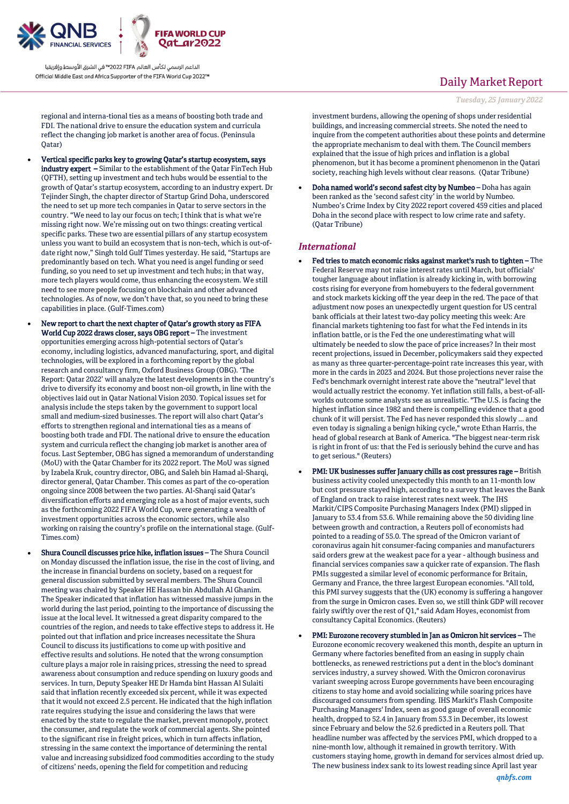

**FIFA WORLD CUP** Qatar2022

الداعم الرسمي لكأس العالم PIFA™ في الشرق الأوسط وإفريقيا Official Middle East and Africa Supporter of the FIFA World Cup 2022™

regional and interna-tional ties as a means of boosting both trade and FDI. The national drive to ensure the education system and curricula reflect the changing job market is another area of focus. (Peninsula Qatar)

- Vertical specific parks key to growing Qatar's startup ecosystem, says industry expert – Similar to the establishment of the Qatar FinTech Hub (QFTH), setting up investment and tech hubs would be essential to the growth of Qatar's startup ecosystem, according to an industry expert. Dr Tejinder Singh, the chapter director of Startup Grind Doha, underscored the need to set up more tech companies in Qatar to serve sectors in the country. "We need to lay our focus on tech; I think that is what we're missing right now. We're missing out on two things: creating vertical specific parks. These two are essential pillars of any startup ecosystem unless you want to build an ecosystem that is non-tech, which is out-ofdate right now," Singh told Gulf Times yesterday. He said, "Startups are predominantly based on tech. What you need is angel funding or seed funding, so you need to set up investment and tech hubs; in that way, more tech players would come, thus enhancing the ecosystem. We still need to see more people focusing on blockchain and other advanced technologies. As of now, we don't have that, so you need to bring these capabilities in place. (Gulf-Times.com)
	- New report to chart the next chapter of Qatar's growth story as FIFA World Cup 2022 draws closer, says OBG report – The investment opportunities emerging across high-potential sectors of Qatar's economy, including logistics, advanced manufacturing, sport, and digital technologies, will be explored in a forthcoming report by the global research and consultancy firm, Oxford Business Group (OBG). 'The Report: Qatar 2022' will analyze the latest developments in the country's drive to diversify its economy and boost non-oil growth, in line with the objectives laid out in Qatar National Vision 2030. Topical issues set for analysis include the steps taken by the government to support local small and medium-sized businesses. The report will also chart Qatar's efforts to strengthen regional and international ties as a means of boosting both trade and FDI. The national drive to ensure the education system and curricula reflect the changing job market is another area of focus. Last September, OBG has signed a memorandum of understanding (MoU) with the Qatar Chamber for its 2022 report. The MoU was signed by Izabela Kruk, country director, OBG, and Saleh bin Hamad al-Sharqi, director general, Qatar Chamber. This comes as part of the co-operation ongoing since 2008 between the two parties. Al-Sharqi said Qatar's diversification efforts and emerging role as a host of major events, such as the forthcoming 2022 FIFA World Cup, were generating a wealth of investment opportunities across the economic sectors, while also working on raising the country's profile on the international stage. (Gulf-Times.com)
- Shura Council discusses price hike, inflation issues The Shura Council on Monday discussed the inflation issue, the rise in the cost of living, and the increase in financial burdens on society, based on a request for general discussion submitted by several members. The Shura Council meeting was chaired by Speaker HE Hassan bin Abdullah Al Ghanim. The Speaker indicated that inflation has witnessed massive jumps in the world during the last period, pointing to the importance of discussing the issue at the local level. It witnessed a great disparity compared to the countries of the region, and needs to take effective steps to address it. He pointed out that inflation and price increases necessitate the Shura Council to discuss its justifications to come up with positive and effective results and solutions. He noted that the wrong consumption culture plays a major role in raising prices, stressing the need to spread awareness about consumption and reduce spending on luxury goods and services. In turn, Deputy Speaker HE Dr Hamda bint Hassan Al Sulaiti said that inflation recently exceeded six percent, while it was expected that it would not exceed 2.5 percent. He indicated that the high inflation rate requires studying the issue and considering the laws that were enacted by the state to regulate the market, prevent monopoly, protect the consumer, and regulate the work of commercial agents. She pointed to the significant rise in freight prices, which in turn affects inflation, stressing in the same context the importance of determining the rental value and increasing subsidized food commodities according to the study of citizens' needs, opening the field for competition and reducing

## Daily Market Report

#### *Tuesday, 25 January 2022*

investment burdens, allowing the opening of shops under residential buildings, and increasing commercial streets. She noted the need to inquire from the competent authorities about these points and determine the appropriate mechanism to deal with them. The Council members explained that the issue of high prices and inflation is a global phenomenon, but it has become a prominent phenomenon in the Qatari society, reaching high levels without clear reasons. (Qatar Tribune)

 Doha named world's second safest city by Numbeo – Doha has again been ranked as the 'second safest city' in the world by Numbeo. Numbeo's Crime Index by City 2022 report covered 459 cities and placed Doha in the second place with respect to low crime rate and safety. (Qatar Tribune)

#### *International*

- Fed tries to match economic risks against market's rush to tighten The Federal Reserve may not raise interest rates until March, but officials' tougher language about inflation is already kicking in, with borrowing costs rising for everyone from homebuyers to the federal government and stock markets kicking off the year deep in the red. The pace of that adjustment now poses an unexpectedly urgent question for US central bank officials at their latest two-day policy meeting this week: Are financial markets tightening too fast for what the Fed intends in its inflation battle, or is the Fed the one underestimating what will ultimately be needed to slow the pace of price increases? In their most recent projections, issued in December, policymakers said they expected as many as three quarter-percentage-point rate increases this year, with more in the cards in 2023 and 2024. But those projections never raise the Fed's benchmark overnight interest rate above the "neutral" level that would actually restrict the economy. Yet inflation still falls, a best-of-allworlds outcome some analysts see as unrealistic. "The U.S. is facing the highest inflation since 1982 and there is compelling evidence that a good chunk of it will persist. The Fed has never responded this slowly ... and even today is signaling a benign hiking cycle," wrote Ethan Harris, the head of global research at Bank of America. "The biggest near-term risk is right in front of us: that the Fed is seriously behind the curve and has to get serious." (Reuters)
- PMI: UK businesses suffer January chills as cost pressures rage British business activity cooled unexpectedly this month to an 11-month low but cost pressure stayed high, according to a survey that leaves the Bank of England on track to raise interest rates next week. The IHS Markit/CIPS Composite Purchasing Managers Index (PMI) slipped in January to 53.4 from 53.6. While remaining above the 50 dividing line between growth and contraction, a Reuters poll of economists had pointed to a reading of 55.0. The spread of the Omicron variant of coronavirus again hit consumer-facing companies and manufacturers said orders grew at the weakest pace for a year - although business and financial services companies saw a quicker rate of expansion. The flash PMIs suggested a similar level of economic performance for Britain, Germany and France, the three largest European economies. "All told, this PMI survey suggests that the (UK) economy is suffering a hangover from the surge in Omicron cases. Even so, we still think GDP will recover fairly swiftly over the rest of Q1," said Adam Hoyes, economist from consultancy Capital Economics. (Reuters)
- PMI: Eurozone recovery stumbled in Jan as Omicron hit services The Eurozone economic recovery weakened this month, despite an upturn in Germany where factories benefited from an easing in supply chain bottlenecks, as renewed restrictions put a dent in the bloc's dominant services industry, a survey showed. With the Omicron coronavirus variant sweeping across Europe governments have been encouraging citizens to stay home and avoid socializing while soaring prices have discouraged consumers from spending. IHS Markit's Flash Composite Purchasing Managers' Index, seen as good gauge of overall economic health, dropped to 52.4 in January from 53.3 in December, its lowest since February and below the 52.6 predicted in a Reuters poll. That headline number was affected by the services PMI, which dropped to a nine-month low, although it remained in growth territory. With customers staying home, growth in demand for services almost dried up. The new business index sank to its lowest reading since April last year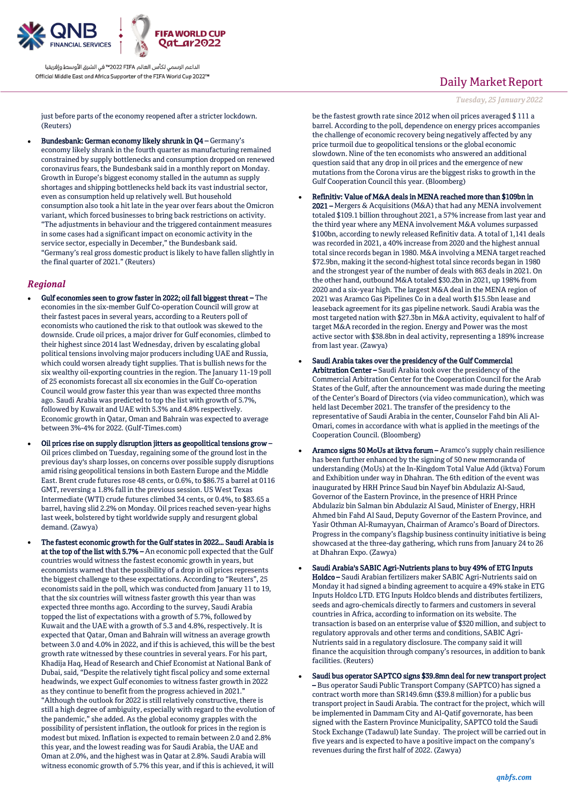

just before parts of the economy reopened after a stricter lockdown. (Reuters)

 Bundesbank: German economy likely shrunk in Q4 – Germany's economy likely shrank in the fourth quarter as manufacturing remained constrained by supply bottlenecks and consumption dropped on renewed coronavirus fears, the Bundesbank said in a monthly report on Monday. Growth in Europe's biggest economy stalled in the autumn as supply shortages and shipping bottlenecks held back its vast industrial sector, even as consumption held up relatively well. But household consumption also took a hit late in the year over fears about the Omicron variant, which forced businesses to bring back restrictions on activity. "The adjustments in behaviour and the triggered containment measures in some cases had a significant impact on economic activity in the service sector, especially in December," the Bundesbank said. "Germany's real gross domestic product is likely to have fallen slightly in the final quarter of 2021." (Reuters)

#### *Regional*

- Gulf economies seen to grow faster in 2022; oil fall biggest threat The economies in the six-member Gulf Co-operation Council will grow at their fastest paces in several years, according to a Reuters poll of economists who cautioned the risk to that outlook was skewed to the downside. Crude oil prices, a major driver for Gulf economies, climbed to their highest since 2014 last Wednesday, driven by escalating global political tensions involving major producers including UAE and Russia, which could worsen already tight supplies. That is bullish news for the six wealthy oil-exporting countries in the region. The January 11-19 poll of 25 economists forecast all six economies in the Gulf Co-operation Council would grow faster this year than was expected three months ago. Saudi Arabia was predicted to top the list with growth of 5.7%, followed by Kuwait and UAE with 5.3% and 4.8% respectively. Economic growth in Qatar, Oman and Bahrain was expected to average between 3%-4% for 2022. (Gulf-Times.com)
- Oil prices rise on supply disruption jitters as geopolitical tensions grow Oil prices climbed on Tuesday, regaining some of the ground lost in the previous day's sharp losses, on concerns over possible supply disruptions amid rising geopolitical tensions in both Eastern Europe and the Middle East. Brent crude futures rose 48 cents, or 0.6%, to \$86.75 a barrel at 0116 GMT, reversing a 1.8% fall in the previous session. US West Texas Intermediate (WTI) crude futures climbed 34 cents, or 0.4%, to \$83.65 a barrel, having slid 2.2% on Monday. Oil prices reached seven-year highs last week, bolstered by tight worldwide supply and resurgent global demand. (Zawya)
- The fastest economic growth for the Gulf states in 2022… Saudi Arabia is at the top of the list with 5.7% – An economic poll expected that the Gulf countries would witness the fastest economic growth in years, but economists warned that the possibility of a drop in oil prices represents the biggest challenge to these expectations. According to "Reuters", 25 economists said in the poll, which was conducted from January 11 to 19, that the six countries will witness faster growth this year than was expected three months ago. According to the survey, Saudi Arabia topped the list of expectations with a growth of 5.7%, followed by Kuwait and the UAE with a growth of 5.3 and 4.8%, respectively. It is expected that Qatar, Oman and Bahrain will witness an average growth between 3.0 and 4.0% in 2022, and if this is achieved, this will be the best growth rate witnessed by these countries in several years. For his part, Khadija Haq, Head of Research and Chief Economist at National Bank of Dubai, said, "Despite the relatively tight fiscal policy and some external headwinds, we expect Gulf economies to witness faster growth in 2022 as they continue to benefit from the progress achieved in 2021.' "Although the outlook for 2022 is still relatively constructive, there is still a high degree of ambiguity, especially with regard to the evolution of the pandemic," she added. As the global economy grapples with the possibility of persistent inflation, the outlook for prices in the region is modest but mixed. Inflation is expected to remain between 2.0 and 2.8% this year, and the lowest reading was for Saudi Arabia, the UAE and Oman at 2.0%, and the highest was in Qatar at 2.8%. Saudi Arabia will witness economic growth of 5.7% this year, and if this is achieved, it will

## Daily Market Report

#### *Tuesday, 25 January 2022*

be the fastest growth rate since 2012 when oil prices averaged \$ 111 a barrel. According to the poll, dependence on energy prices accompanies the challenge of economic recovery being negatively affected by any price turmoil due to geopolitical tensions or the global economic slowdown. Nine of the ten economists who answered an additional question said that any drop in oil prices and the emergence of new mutations from the Corona virus are the biggest risks to growth in the Gulf Cooperation Council this year. (Bloomberg)

- Refinitiv: Value of M&A deals in MENA reached more than \$109bn in 2021 – Mergers & Acquisitions (M&A) that had any MENA involvement totaled \$109.1 billion throughout 2021, a 57% increase from last year and the third year where any MENA involvement M&A volumes surpassed \$100bn, according to newly released Refinitiv data. A total of 1,141 deals was recorded in 2021, a 40% increase from 2020 and the highest annual total since records began in 1980. M&A involving a MENA target reached \$72.9bn, making it the second-highest total since records began in 1980 and the strongest year of the number of deals with 863 deals in 2021. On the other hand, outbound M&A totaled \$30.2bn in 2021, up 198% from 2020 and a six-year high. The largest M&A deal in the MENA region of 2021 was Aramco Gas Pipelines Co in a deal worth \$15.5bn lease and leaseback agreement for its gas pipeline network. Saudi Arabia was the most targeted nation with \$27.3bn in M&A activity, equivalent to half of target M&A recorded in the region. Energy and Power was the most active sector with \$38.8bn in deal activity, representing a 189% increase from last year. (Zawya)
- Saudi Arabia takes over the presidency of the Gulf Commercial Arbitration Center – Saudi Arabia took over the presidency of the Commercial Arbitration Center for the Cooperation Council for the Arab States of the Gulf, after the announcement was made during the meeting of the Center's Board of Directors (via video communication), which was held last December 2021. The transfer of the presidency to the representative of Saudi Arabia in the center, Counselor Fahd bin Ali Al-Omari, comes in accordance with what is applied in the meetings of the Cooperation Council. (Bloomberg)
- Aramco signs 50 MoUs at iktva forum Aramco's supply chain resilience has been further enhanced by the signing of 50 new memoranda of understanding (MoUs) at the In-Kingdom Total Value Add (iktva) Forum and Exhibition under way in Dhahran. The 6th edition of the event was inaugurated by HRH Prince Saud bin Nayef bin Abdulaziz Al-Saud, Governor of the Eastern Province, in the presence of HRH Prince Abdulaziz bin Salman bin Abdulaziz Al Saud, Minister of Energy, HRH Ahmed bin Fahd Al Saud, Deputy Governor of the Eastern Province, and Yasir Othman Al-Rumayyan, Chairman of Aramco's Board of Directors. Progress in the company's flagship business continuity initiative is being showcased at the three-day gathering, which runs from January 24 to 26 at Dhahran Expo. (Zawya)
- Saudi Arabia's SABIC Agri-Nutrients plans to buy 49% of ETG Inputs Holdco – Saudi Arabian fertilizers maker SABIC Agri-Nutrients said on Monday it had signed a binding agreement to acquire a 49% stake in ETG Inputs Holdco LTD. ETG Inputs Holdco blends and distributes fertilizers, seeds and agro-chemicals directly to farmers and customers in several countries in Africa, according to information on its website. The transaction is based on an enterprise value of \$320 million, and subject to regulatory approvals and other terms and conditions, SABIC Agri-Nutrients said in a regulatory disclosure. The company said it will finance the acquisition through company's resources, in addition to bank facilities. (Reuters)
- Saudi bus operator SAPTCO signs \$39.8mn deal for new transport project – Bus operator Saudi Public Transport Company (SAPTCO) has signed a contract worth more than SR149.6mn (\$39.8 million) for a public bus transport project in Saudi Arabia. The contract for the project, which will be implemented in Dammam City and Al-Qatif governorate, has been signed with the Eastern Province Municipality, SAPTCO told the Saudi Stock Exchange (Tadawul) late Sunday. The project will be carried out in five years and is expected to have a positive impact on the company's revenues during the first half of 2022. (Zawya)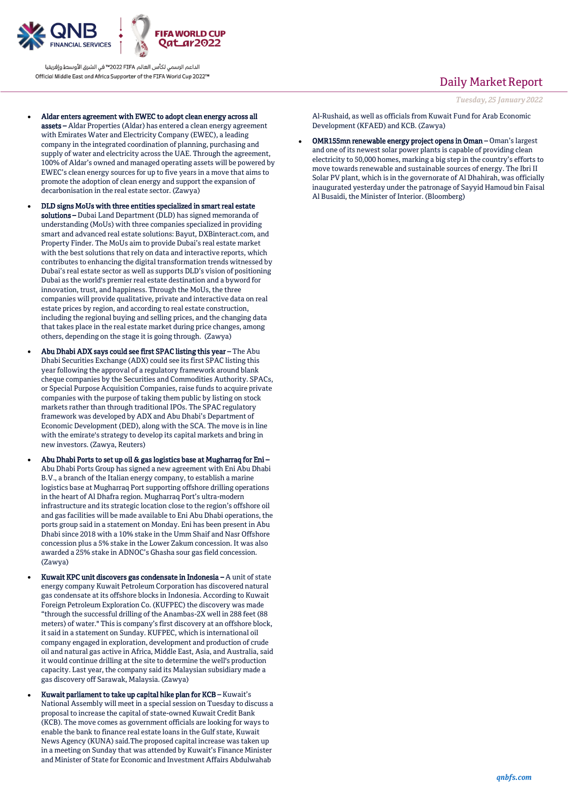

- Aldar enters agreement with EWEC to adopt clean energy across all assets – Aldar Properties (Aldar) has entered a clean energy agreement with Emirates Water and Electricity Company (EWEC), a leading company in the integrated coordination of planning, purchasing and supply of water and electricity across the UAE. Through the agreement, 100% of Aldar's owned and managed operating assets will be powered by EWEC's clean energy sources for up to five years in a move that aims to promote the adoption of clean energy and support the expansion of decarbonisation in the real estate sector. (Zawya)
- DLD signs MoUs with three entities specialized in smart real estate solutions – Dubai Land Department (DLD) has signed memoranda of understanding (MoUs) with three companies specialized in providing smart and advanced real estate solutions: Bayut, DXBinteract.com, and Property Finder. The MoUs aim to provide Dubai's real estate market with the best solutions that rely on data and interactive reports, which contributes to enhancing the digital transformation trends witnessed by Dubai's real estate sector as well as supports DLD's vision of positioning Dubai as the world's premier real estate destination and a byword for innovation, trust, and happiness. Through the MoUs, the three companies will provide qualitative, private and interactive data on real estate prices by region, and according to real estate construction, including the regional buying and selling prices, and the changing data that takes place in the real estate market during price changes, among others, depending on the stage it is going through. (Zawya)
- Abu Dhabi ADX says could see first SPAC listing this year The Abu Dhabi Securities Exchange (ADX) could see its first SPAC listing this year following the approval of a regulatory framework around blank cheque companies by the Securities and Commodities Authority. SPACs, or Special Purpose Acquisition Companies, raise funds to acquire private companies with the purpose of taking them public by listing on stock markets rather than through traditional IPOs. The SPAC regulatory framework was developed by ADX and Abu Dhabi's Department of Economic Development (DED), along with the SCA. The move is in line with the emirate's strategy to develop its capital markets and bring in new investors. (Zawya, Reuters)
- Abu Dhabi Ports to set up oil & gas logistics base at Mugharraq for Eni Abu Dhabi Ports Group has signed a new agreement with Eni Abu Dhabi B.V., a branch of the Italian energy company, to establish a marine logistics base at Mugharraq Port supporting offshore drilling operations in the heart of Al Dhafra region. Mugharraq Port's ultra-modern infrastructure and its strategic location close to the region's offshore oil and gas facilities will be made available to Eni Abu Dhabi operations, the ports group said in a statement on Monday. Eni has been present in Abu Dhabi since 2018 with a 10% stake in the Umm Shaif and Nasr Offshore concession plus a 5% stake in the Lower Zakum concession. It was also awarded a 25% stake in ADNOC's Ghasha sour gas field concession. (Zawya)
- Kuwait KPC unit discovers gas condensate in Indonesia A unit of state energy company Kuwait Petroleum Corporation has discovered natural gas condensate at its offshore blocks in Indonesia. According to Kuwait Foreign Petroleum Exploration Co. (KUFPEC) the discovery was made "through the successful drilling of the Anambas-2X well in 288 feet (88 meters) of water." This is company's first discovery at an offshore block, it said in a statement on Sunday. KUFPEC, which is international oil company engaged in exploration, development and production of crude oil and natural gas active in Africa, Middle East, Asia, and Australia, said it would continue drilling at the site to determine the well's production capacity. Last year, the company said its Malaysian subsidiary made a gas discovery off Sarawak, Malaysia. (Zawya)
- Kuwait parliament to take up capital hike plan for KCB Kuwait's National Assembly will meet in a special session on Tuesday to discuss a proposal to increase the capital of state-owned Kuwait Credit Bank (KCB). The move comes as government officials are looking for ways to enable the bank to finance real estate loans in the Gulf state, Kuwait News Agency (KUNA) said.The proposed capital increase was taken up in a meeting on Sunday that was attended by Kuwait's Finance Minister and Minister of State for Economic and Investment Affairs Abdulwahab

### Daily Market Report

*Tuesday, 25 January 2022*

Al-Rushaid, as well as officials from Kuwait Fund for Arab Economic Development (KFAED) and KCB. (Zawya)

 OMR155mn renewable energy project opens in Oman – Oman's largest and one of its newest solar power plants is capable of providing clean electricity to 50,000 homes, marking a big step in the country's efforts to move towards renewable and sustainable sources of energy. The Ibri II Solar PV plant, which is in the governorate of Al Dhahirah, was officially inaugurated yesterday under the patronage of Sayyid Hamoud bin Faisal Al Busaidi, the Minister of Interior. (Bloomberg)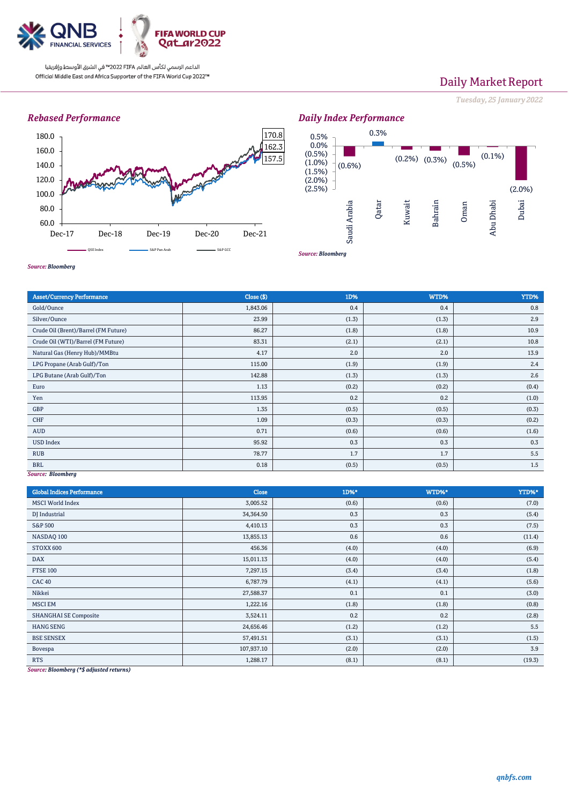

## Daily Market Report

*Tuesday, 25 January 2022*

### *Rebased Performance*



*Source: Bloomberg*





*Source: Bloomberg*

| <b>Asset/Currency Performance</b>    | Close (\$) | 1D%   | WTD%  | YTD%  |
|--------------------------------------|------------|-------|-------|-------|
| Gold/Ounce                           | 1,843.06   | 0.4   | 0.4   | 0.8   |
| Silver/Ounce                         | 23.99      | (1.3) | (1.3) | 2.9   |
| Crude Oil (Brent)/Barrel (FM Future) | 86.27      | (1.8) | (1.8) | 10.9  |
| Crude Oil (WTI)/Barrel (FM Future)   | 83.31      | (2.1) | (2.1) | 10.8  |
| Natural Gas (Henry Hub)/MMBtu        | 4.17       | 2.0   | 2.0   | 13.9  |
| LPG Propane (Arab Gulf)/Ton          | 115.00     | (1.9) | (1.9) | 2.4   |
| LPG Butane (Arab Gulf)/Ton           | 142.88     | (1.3) | (1.3) | 2.6   |
| Euro                                 | 1.13       | (0.2) | (0.2) | (0.4) |
| Yen                                  | 113.95     | 0.2   | 0.2   | (1.0) |
| GBP                                  | 1.35       | (0.5) | (0.5) | (0.3) |
| CHF                                  | 1.09       | (0.3) | (0.3) | (0.2) |
| <b>AUD</b>                           | 0.71       | (0.6) | (0.6) | (1.6) |
| <b>USD Index</b>                     | 95.92      | 0.3   | 0.3   | 0.3   |
| <b>RUB</b>                           | 78.77      | 1.7   | 1.7   | 5.5   |
| <b>BRL</b>                           | 0.18       | (0.5) | (0.5) | 1.5   |
| Source: Bloomberg                    |            |       |       |       |

*Source: Bloomberg*

| <b>Global Indices Performance</b>                                                                                                                                | <b>Close</b> | 1D%*  | WTD%* | YTD%*  |
|------------------------------------------------------------------------------------------------------------------------------------------------------------------|--------------|-------|-------|--------|
| <b>MSCI World Index</b>                                                                                                                                          | 3,005.52     | (0.6) | (0.6) | (7.0)  |
| DJ Industrial                                                                                                                                                    | 34,364.50    | 0.3   | 0.3   | (5.4)  |
| <b>S&amp;P 500</b>                                                                                                                                               | 4,410.13     | 0.3   | 0.3   | (7.5)  |
| NASDAQ 100                                                                                                                                                       | 13,855.13    | 0.6   | 0.6   | (11.4) |
| STOXX 600                                                                                                                                                        | 456.36       | (4.0) | (4.0) | (6.9)  |
| <b>DAX</b>                                                                                                                                                       | 15,011.13    | (4.0) | (4.0) | (5.4)  |
| <b>FTSE 100</b>                                                                                                                                                  | 7,297.15     | (3.4) | (3.4) | (1.8)  |
| <b>CAC 40</b>                                                                                                                                                    | 6,787.79     | (4.1) | (4.1) | (5.6)  |
| Nikkei                                                                                                                                                           | 27,588.37    | 0.1   | 0.1   | (3.0)  |
| <b>MSCI EM</b>                                                                                                                                                   | 1,222.16     | (1.8) | (1.8) | (0.8)  |
| <b>SHANGHAI SE Composite</b>                                                                                                                                     | 3,524.11     | 0.2   | 0.2   | (2.8)  |
| <b>HANG SENG</b>                                                                                                                                                 | 24,656.46    | (1.2) | (1.2) | 5.5    |
| <b>BSE SENSEX</b>                                                                                                                                                | 57,491.51    | (3.1) | (3.1) | (1.5)  |
| Bovespa                                                                                                                                                          | 107,937.10   | (2.0) | (2.0) | 3.9    |
| <b>RTS</b><br>$\mathbf{B}$ $\mathbf{I}$ $\mathbf{I}$ $\mathbf{A}$ $\mathbf{A}$ $\mathbf{B}$ $\mathbf{C}$ $\mathbf{I}$ $\mathbf{A}$ $\mathbf{A}$<br>$\sim$ $\sim$ | 1,288.17     | (8.1) | (8.1) | (19.3) |

*Source: Bloomberg (\*\$ adjusted returns)*